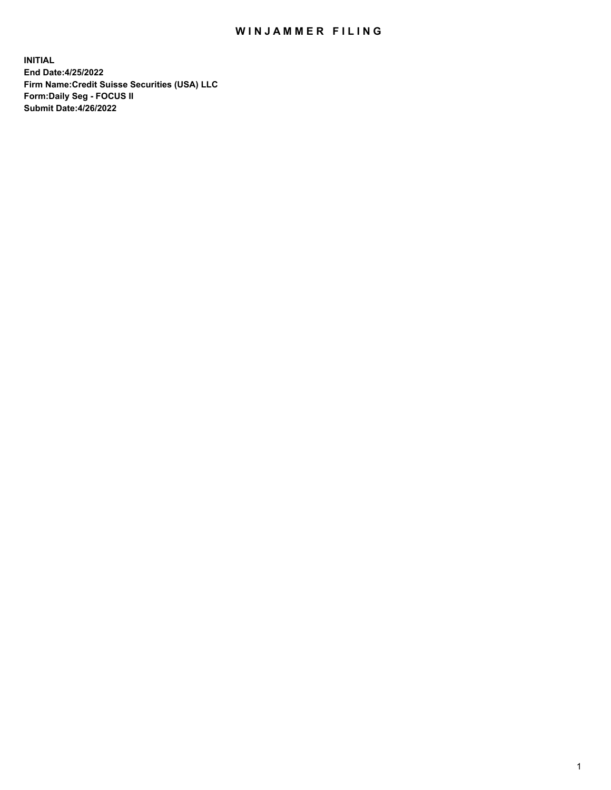# WIN JAMMER FILING

**INITIAL End Date:4/25/2022 Firm Name:Credit Suisse Securities (USA) LLC Form:Daily Seg - FOCUS II Submit Date:4/26/2022**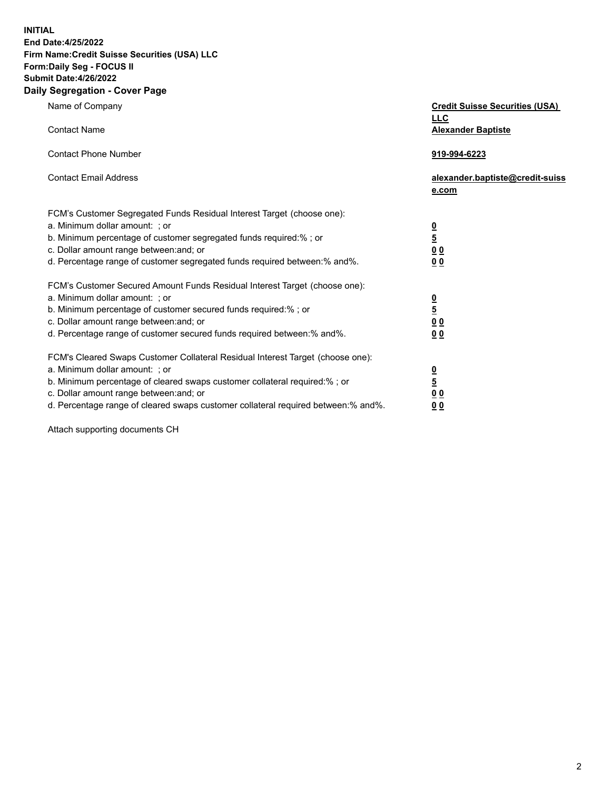**INITIAL**

### **End Date:4/25/2022 Firm Name:Credit Suisse Securities (USA) LLC Form:Daily Seg - FOCUS II Submit Date:4/26/2022**

## **Daily Segregation - Cover Page**

| Name of Company                                                                                                                                                                                                                                                                                                                | <b>Credit Suisse Securities (USA)</b><br><b>LLC</b>              |
|--------------------------------------------------------------------------------------------------------------------------------------------------------------------------------------------------------------------------------------------------------------------------------------------------------------------------------|------------------------------------------------------------------|
| <b>Contact Name</b>                                                                                                                                                                                                                                                                                                            | <b>Alexander Baptiste</b>                                        |
| <b>Contact Phone Number</b>                                                                                                                                                                                                                                                                                                    | 919-994-6223                                                     |
| <b>Contact Email Address</b>                                                                                                                                                                                                                                                                                                   | alexander.baptiste@credit-suiss<br>e.com                         |
| FCM's Customer Segregated Funds Residual Interest Target (choose one):<br>a. Minimum dollar amount: ; or<br>b. Minimum percentage of customer segregated funds required:% ; or<br>c. Dollar amount range between: and; or<br>d. Percentage range of customer segregated funds required between:% and%.                         | $\frac{0}{5}$<br>0 <sub>0</sub><br>0 <sub>0</sub>                |
| FCM's Customer Secured Amount Funds Residual Interest Target (choose one):<br>a. Minimum dollar amount: ; or<br>b. Minimum percentage of customer secured funds required:%; or<br>c. Dollar amount range between: and; or<br>d. Percentage range of customer secured funds required between:% and%.                            | $\frac{0}{5}$<br>$\underline{0} \underline{0}$<br>0 <sub>0</sub> |
| FCM's Cleared Swaps Customer Collateral Residual Interest Target (choose one):<br>a. Minimum dollar amount: ; or<br>b. Minimum percentage of cleared swaps customer collateral required:% ; or<br>c. Dollar amount range between: and; or<br>d. Percentage range of cleared swaps customer collateral required between:% and%. | $\frac{0}{5}$<br>0 <sub>0</sub><br>0 <sub>0</sub>                |

Attach supporting documents CH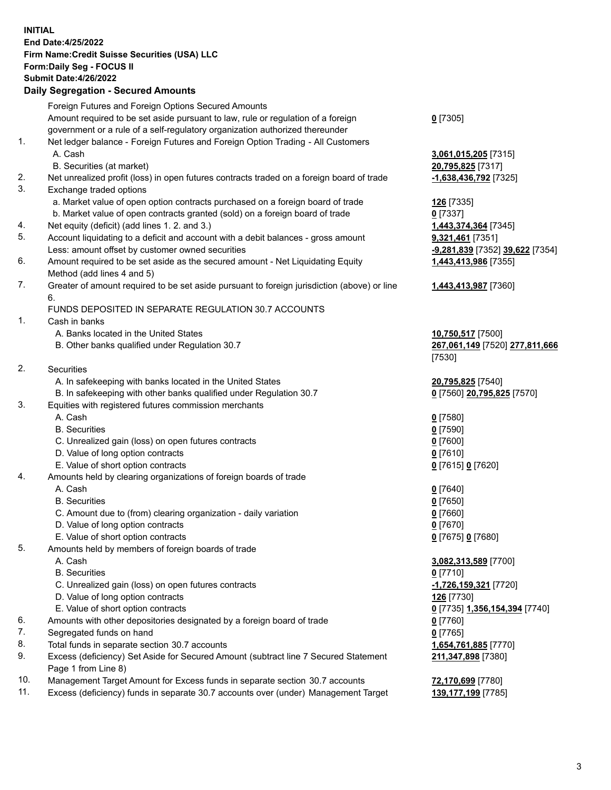### **INITIAL End Date:4/25/2022 Firm Name:Credit Suisse Securities (USA) LLC Form:Daily Seg - FOCUS II Submit Date:4/26/2022**

### **Daily Segregation - Secured Amounts**

|     | Foreign Futures and Foreign Options Secured Amounts                                               |                                 |
|-----|---------------------------------------------------------------------------------------------------|---------------------------------|
|     | Amount required to be set aside pursuant to law, rule or regulation of a foreign                  | $0$ [7305]                      |
|     | government or a rule of a self-regulatory organization authorized thereunder                      |                                 |
| 1.  | Net ledger balance - Foreign Futures and Foreign Option Trading - All Customers                   |                                 |
|     | A. Cash                                                                                           | 3,061,015,205 [7315]            |
|     | B. Securities (at market)                                                                         | 20,795,825 [7317]               |
| 2.  | Net unrealized profit (loss) in open futures contracts traded on a foreign board of trade         | -1,638,436,792 [7325]           |
| 3.  | Exchange traded options                                                                           |                                 |
|     | a. Market value of open option contracts purchased on a foreign board of trade                    | 126 [7335]                      |
|     | b. Market value of open contracts granted (sold) on a foreign board of trade                      | $0$ [7337]                      |
| 4.  | Net equity (deficit) (add lines 1. 2. and 3.)                                                     | 1,443,374,364 [7345]            |
| 5.  | Account liquidating to a deficit and account with a debit balances - gross amount                 | 9,321,461 [7351]                |
|     | Less: amount offset by customer owned securities                                                  | -9,281,839 [7352] 39,622 [7354] |
| 6.  |                                                                                                   |                                 |
|     | Amount required to be set aside as the secured amount - Net Liquidating Equity                    | 1,443,413,986 [7355]            |
| 7.  | Method (add lines 4 and 5)                                                                        |                                 |
|     | Greater of amount required to be set aside pursuant to foreign jurisdiction (above) or line<br>6. | 1,443,413,987 [7360]            |
|     |                                                                                                   |                                 |
| 1.  | FUNDS DEPOSITED IN SEPARATE REGULATION 30.7 ACCOUNTS                                              |                                 |
|     | Cash in banks                                                                                     |                                 |
|     | A. Banks located in the United States                                                             | 10,750,517 [7500]               |
|     | B. Other banks qualified under Regulation 30.7                                                    | 267,061,149 [7520] 277,811,666  |
|     |                                                                                                   | [7530]                          |
| 2.  | Securities                                                                                        |                                 |
|     | A. In safekeeping with banks located in the United States                                         | 20,795,825 [7540]               |
|     | B. In safekeeping with other banks qualified under Regulation 30.7                                | 0 [7560] 20,795,825 [7570]      |
| 3.  | Equities with registered futures commission merchants                                             |                                 |
|     | A. Cash                                                                                           | $0$ [7580]                      |
|     | <b>B.</b> Securities                                                                              | $0$ [7590]                      |
|     | C. Unrealized gain (loss) on open futures contracts                                               | $0$ [7600]                      |
|     | D. Value of long option contracts                                                                 | $0$ [7610]                      |
|     | E. Value of short option contracts                                                                | 0 [7615] 0 [7620]               |
| 4.  | Amounts held by clearing organizations of foreign boards of trade                                 |                                 |
|     | A. Cash                                                                                           | $0$ [7640]                      |
|     | <b>B.</b> Securities                                                                              | $0$ [7650]                      |
|     | C. Amount due to (from) clearing organization - daily variation                                   | $0$ [7660]                      |
|     | D. Value of long option contracts                                                                 | $0$ [7670]                      |
|     | E. Value of short option contracts                                                                | 0 [7675] 0 [7680]               |
| 5.  | Amounts held by members of foreign boards of trade                                                |                                 |
|     | A. Cash                                                                                           | 3,082,313,589 [7700]            |
|     | <b>B.</b> Securities                                                                              | $0$ [7710]                      |
|     | C. Unrealized gain (loss) on open futures contracts                                               | -1,726,159,321 [7720]           |
|     | D. Value of long option contracts                                                                 | 126 [7730]                      |
|     | E. Value of short option contracts                                                                | 0 [7735] 1,356,154,394 [7740]   |
| 6.  | Amounts with other depositories designated by a foreign board of trade                            | $0$ [7760]                      |
| 7.  | Segregated funds on hand                                                                          | $0$ [7765]                      |
| 8.  | Total funds in separate section 30.7 accounts                                                     | 1,654,761,885 [7770]            |
| 9.  | Excess (deficiency) Set Aside for Secured Amount (subtract line 7 Secured Statement               | 211,347,898 [7380]              |
|     | Page 1 from Line 8)                                                                               |                                 |
| 10. | Management Target Amount for Excess funds in separate section 30.7 accounts                       | 72,170,699 [7780]               |
|     |                                                                                                   |                                 |

11. Excess (deficiency) funds in separate 30.7 accounts over (under) Management Target **139,177,199** [7785]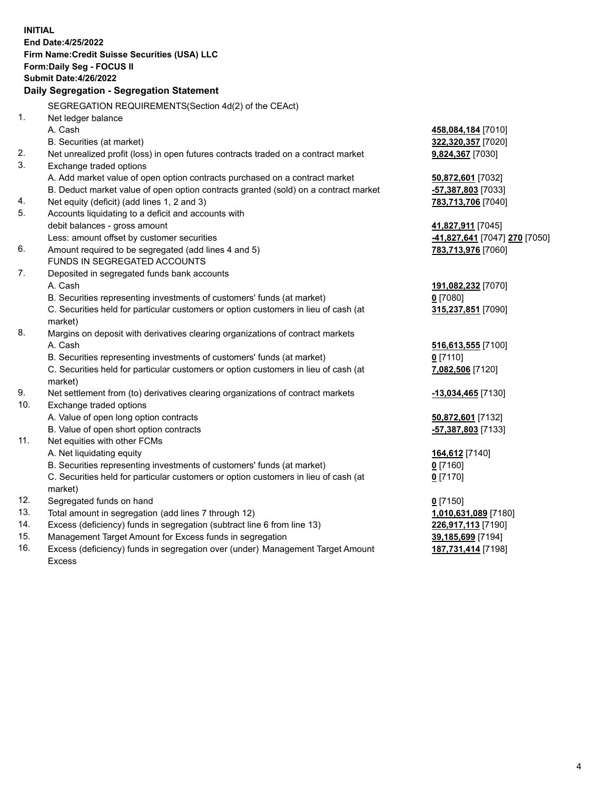|     | <b>INITIAL</b>                                                                                 |                               |
|-----|------------------------------------------------------------------------------------------------|-------------------------------|
|     | End Date: 4/25/2022                                                                            |                               |
|     | Firm Name: Credit Suisse Securities (USA) LLC                                                  |                               |
|     | Form: Daily Seg - FOCUS II                                                                     |                               |
|     | <b>Submit Date: 4/26/2022</b>                                                                  |                               |
|     | Daily Segregation - Segregation Statement                                                      |                               |
|     | SEGREGATION REQUIREMENTS(Section 4d(2) of the CEAct)                                           |                               |
| 1.  | Net ledger balance                                                                             |                               |
|     | A. Cash                                                                                        | 458,084,184 [7010]            |
|     | B. Securities (at market)                                                                      | 322,320,357 [7020]            |
| 2.  | Net unrealized profit (loss) in open futures contracts traded on a contract market             | 9,824,367 [7030]              |
| 3.  | Exchange traded options                                                                        |                               |
|     | A. Add market value of open option contracts purchased on a contract market                    | 50,872,601 [7032]             |
|     | B. Deduct market value of open option contracts granted (sold) on a contract market            | -57,387,803 [7033]            |
| 4.  | Net equity (deficit) (add lines 1, 2 and 3)                                                    | 783,713,706 [7040]            |
| 5.  | Accounts liquidating to a deficit and accounts with                                            |                               |
|     | debit balances - gross amount                                                                  | 41,827,911 [7045]             |
|     | Less: amount offset by customer securities                                                     | -41,827,641 [7047] 270 [7050] |
| 6.  | Amount required to be segregated (add lines 4 and 5)                                           | 783,713,976 [7060]            |
|     | FUNDS IN SEGREGATED ACCOUNTS                                                                   |                               |
| 7.  | Deposited in segregated funds bank accounts                                                    |                               |
|     | A. Cash                                                                                        | 191,082,232 [7070]            |
|     | B. Securities representing investments of customers' funds (at market)                         | $0$ [7080]                    |
|     | C. Securities held for particular customers or option customers in lieu of cash (at            | 315,237,851 [7090]            |
|     | market)                                                                                        |                               |
| 8.  | Margins on deposit with derivatives clearing organizations of contract markets                 |                               |
|     | A. Cash                                                                                        | 516,613,555 [7100]            |
|     | B. Securities representing investments of customers' funds (at market)                         | $0$ [7110]                    |
|     | C. Securities held for particular customers or option customers in lieu of cash (at<br>market) | 7,082,506 [7120]              |
| 9.  | Net settlement from (to) derivatives clearing organizations of contract markets                | -13,034,465 [7130]            |
| 10. | Exchange traded options                                                                        |                               |
|     | A. Value of open long option contracts                                                         | 50,872,601 [7132]             |
|     | B. Value of open short option contracts                                                        | -57,387,803 [7133]            |
| 11. | Net equities with other FCMs                                                                   |                               |
|     | A. Net liquidating equity                                                                      | 164,612 [7140]                |
|     | B. Securities representing investments of customers' funds (at market)                         | 0 [7160]                      |
|     | C. Securities held for particular customers or option customers in lieu of cash (at<br>market) | $0$ [7170]                    |
| 12. | Segregated funds on hand                                                                       | $0$ [7150]                    |
| 13. | Total amount in segregation (add lines 7 through 12)                                           | 1,010,631,089 [7180]          |
| 14. | Excess (deficiency) funds in segregation (subtract line 6 from line 13)                        | 226,917,113 [7190]            |
| 15. | Management Target Amount for Excess funds in segregation                                       | 39,185,699 [7194]             |
| 16. | Excess (deficiency) funds in segregation over (under) Management Target Amount                 | 187,731,414 [7198]            |

16. Excess (deficiency) funds in segregation over (under) Management Target Amount Excess